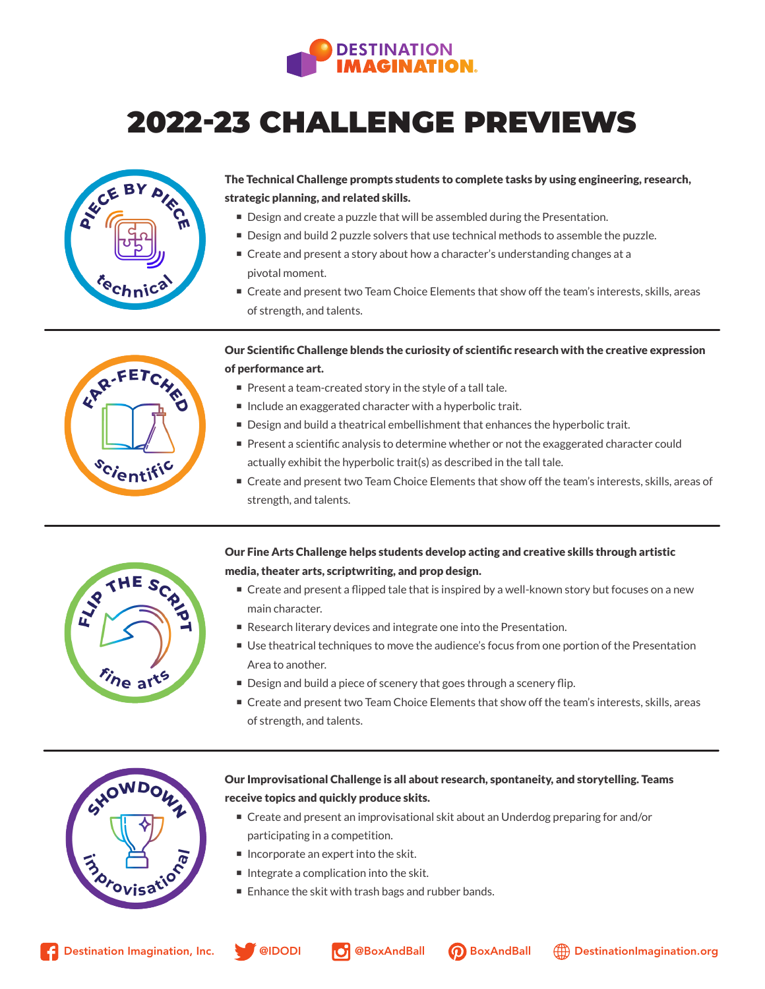

## 2022-23 CHALLENGE PREVIEWS



EP R

The Technical Challenge prompts students to complete tasks by using engineering, research, strategic planning, and related skills.

- Design and create a puzzle that will be assembled during the Presentation.
- Design and build 2 puzzle solvers that use technical methods to assemble the puzzle.
- Create and present a story about how a character's understanding changes at a pivotal moment.
- Create and present two Team Choice Elements that show off the team's interests, skills, areas of strength, and talents.

Our Scientific Challenge blends the curiosity of scientific research with the creative expression of performance art.

- Present a team-created story in the style of a tall tale.
- Include an exaggerated character with a hyperbolic trait.
- Design and build a theatrical embellishment that enhances the hyperbolic trait.
- **Present a scientific analysis to determine whether or not the exaggerated character could** actually exhibit the hyperbolic trait(s) as described in the tall tale.
- Create and present two Team Choice Elements that show off the team's interests, skills, areas of strength, and talents.



*scientiff* 

Our Fine Arts Challenge helps students develop acting and creative skills through artistic media, theater arts, scriptwriting, and prop design.

- Create and present a flipped tale that is inspired by a well-known story but focuses on a new main character.
- Research literary devices and integrate one into the Presentation.
- Use theatrical techniques to move the audience's focus from one portion of the Presentation Area to another.
- Design and build a piece of scenery that goes through a scenery flip.
- Create and present two Team Choice Elements that show off the team's interests, skills, areas of strength, and talents.



Our Improvisational Challenge is all about research, spontaneity, and storytelling. Teams receive topics and quickly produce skits.

- Create and present an improvisational skit about an Underdog preparing for and/or participating in a competition.
- Incorporate an expert into the skit.
- Integrate a complication into the skit.
- Enhance the skit with trash bags and rubber bands.